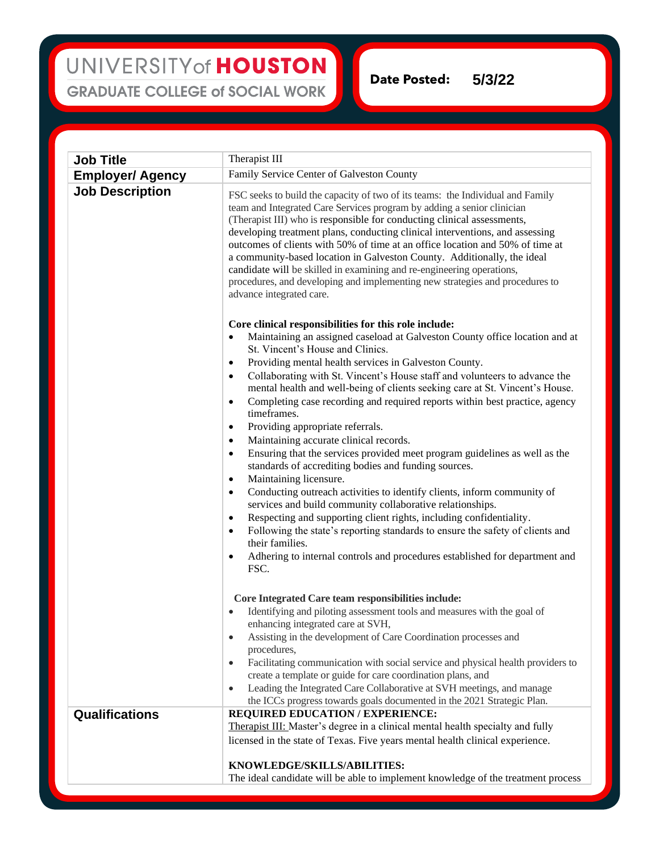## UNIVERSITY of HOUSTON **GRADUATE COLLEGE of SOCIAL WORK**

**Date Posted: 5/3/22**

**Job Title** Therapist III **Employer/ Agency** Family Service Center of Galveston County **Job Description** FSC seeks to build the capacity of two of its teams: the Individual and Family team and Integrated Care Services program by adding a senior clinician (Therapist III) who is responsible for conducting clinical assessments, developing treatment plans, conducting clinical interventions, and assessing outcomes of clients with 50% of time at an office location and 50% of time at a community-based location in Galveston County. Additionally, the ideal candidate will be skilled in examining and re-engineering operations, procedures, and developing and implementing new strategies and procedures to advance integrated care. **Core clinical responsibilities for this role include:** • Maintaining an assigned caseload at Galveston County office location and at St. Vincent's House and Clinics. • Providing mental health services in Galveston County. • Collaborating with St. Vincent's House staff and volunteers to advance the mental health and well-being of clients seeking care at St. Vincent's House. • Completing case recording and required reports within best practice, agency timeframes. • Providing appropriate referrals. Maintaining accurate clinical records. • Ensuring that the services provided meet program guidelines as well as the standards of accrediting bodies and funding sources. Maintaining licensure. • Conducting outreach activities to identify clients, inform community of services and build community collaborative relationships. Respecting and supporting client rights, including confidentiality. • Following the state's reporting standards to ensure the safety of clients and their families. • Adhering to internal controls and procedures established for department and FSC. **Core Integrated Care team responsibilities include:** • Identifying and piloting assessment tools and measures with the goal of enhancing integrated care at SVH, • Assisting in the development of Care Coordination processes and procedures, • Facilitating communication with social service and physical health providers to create a template or guide for care coordination plans, and • Leading the Integrated Care Collaborative at SVH meetings, and manage the ICCs progress towards goals documented in the 2021 Strategic Plan. **Qualifications REQUIRED EDUCATION / EXPERIENCE:**  Therapist III: Master's degree in a clinical mental health specialty and fully licensed in the state of Texas. Five years mental health clinical experience. **KNOWLEDGE/SKILLS/ABILITIES:** The ideal candidate will be able to implement knowledge of the treatment process